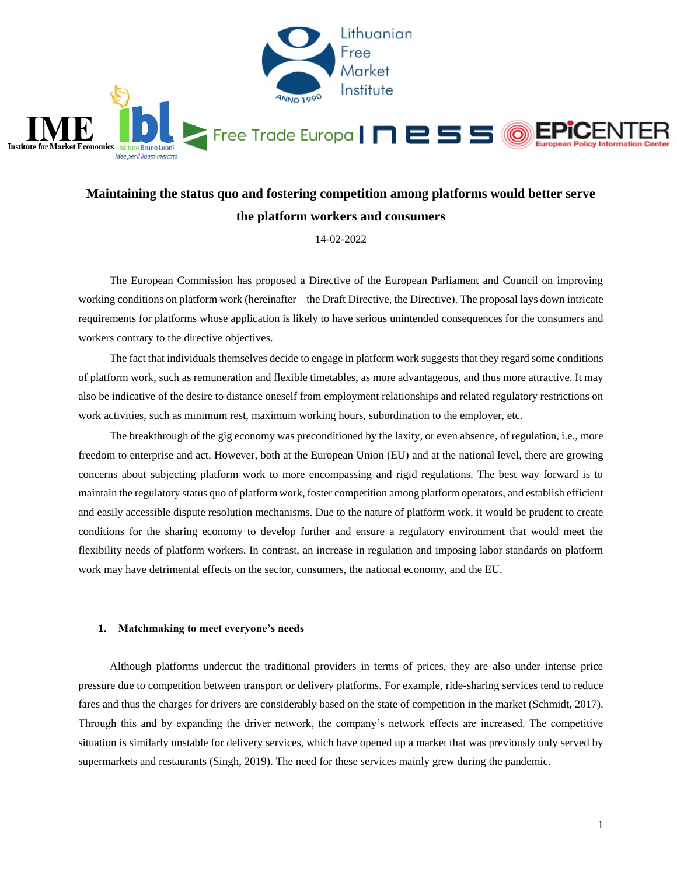

### **Maintaining the status quo and fostering competition among platforms would better serve the platform workers and consumers**

14-02-2022

The European Commission has proposed a Directive of the European Parliament and Council on improving working conditions on platform work (hereinafter – the Draft Directive, the Directive). The proposal lays down intricate requirements for platforms whose application is likely to have serious unintended consequences for the consumers and workers contrary to the directive objectives.

The fact that individuals themselves decide to engage in platform work suggests that they regard some conditions of platform work, such as remuneration and flexible timetables, as more advantageous, and thus more attractive. It may also be indicative of the desire to distance oneself from employment relationships and related regulatory restrictions on work activities, such as minimum rest, maximum working hours, subordination to the employer, etc.

The breakthrough of the gig economy was preconditioned by the laxity, or even absence, of regulation, i.e., more freedom to enterprise and act. However, both at the European Union (EU) and at the national level, there are growing concerns about subjecting platform work to more encompassing and rigid regulations. The best way forward is to maintain the regulatory status quo of platform work, foster competition among platform operators, and establish efficient and easily accessible dispute resolution mechanisms. Due to the nature of platform work, it would be prudent to create conditions for the sharing economy to develop further and ensure a regulatory environment that would meet the flexibility needs of platform workers. In contrast, an increase in regulation and imposing labor standards on platform work may have detrimental effects on the sector, consumers, the national economy, and the EU.

#### **1. Matchmaking to meet everyone's needs**

Although platforms undercut the traditional providers in terms of prices, they are also under intense price pressure due to competition between transport or delivery platforms. For example, ride-sharing services tend to reduce fares and thus the charges for drivers are considerably based on the state of competition in the market (Schmidt, 2017). Through this and by expanding the driver network, the company's network effects are increased. The competitive situation is similarly unstable for delivery services, which have opened up a market that was previously only served by supermarkets and restaurants (Singh, 2019). The need for these services mainly grew during the pandemic.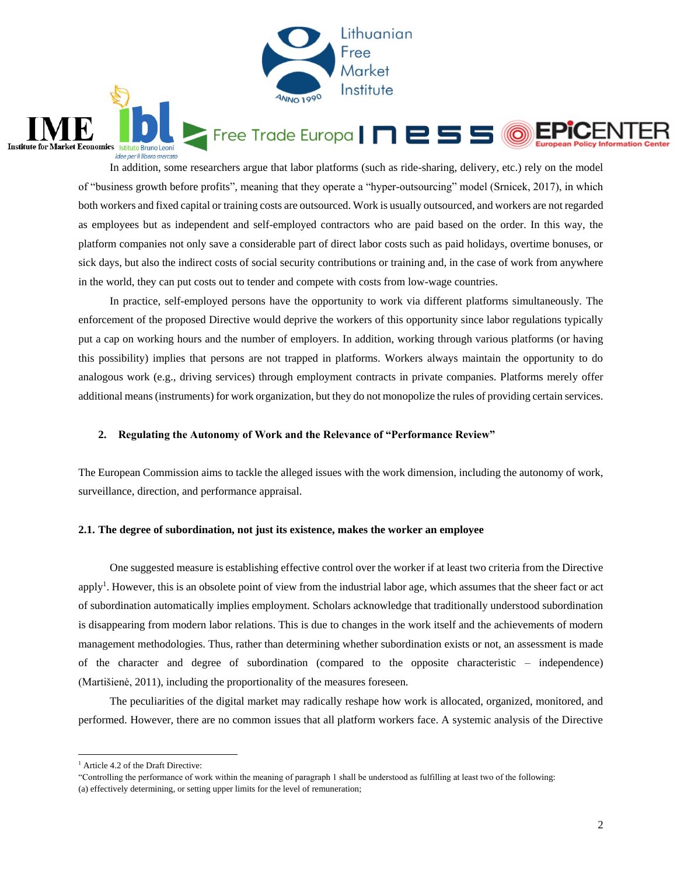

In addition, some researchers argue that labor platforms (such as ride-sharing, delivery, etc.) rely on the model of "business growth before profits", meaning that they operate a "hyper-outsourcing" model (Srnicek, 2017), in which both workers and fixed capital or training costs are outsourced. Work is usually outsourced, and workers are not regarded as employees but as independent and self-employed contractors who are paid based on the order. In this way, the platform companies not only save a considerable part of direct labor costs such as paid holidays, overtime bonuses, or sick days, but also the indirect costs of social security contributions or training and, in the case of work from anywhere in the world, they can put costs out to tender and compete with costs from low-wage countries.

In practice, self-employed persons have the opportunity to work via different platforms simultaneously. The enforcement of the proposed Directive would deprive the workers of this opportunity since labor regulations typically put a cap on working hours and the number of employers. In addition, working through various platforms (or having this possibility) implies that persons are not trapped in platforms. Workers always maintain the opportunity to do analogous work (e.g., driving services) through employment contracts in private companies. Platforms merely offer additional means (instruments) for work organization, but they do not monopolize the rules of providing certain services.

### **2. Regulating the Autonomy of Work and the Relevance of "Performance Review"**

The European Commission aims to tackle the alleged issues with the work dimension, including the autonomy of work, surveillance, direction, and performance appraisal.

### **2.1. The degree of subordination, not just its existence, makes the worker an employee**

One suggested measure is establishing effective control over the worker if at least two criteria from the Directive apply<sup>1</sup>. However, this is an obsolete point of view from the industrial labor age, which assumes that the sheer fact or act of subordination automatically implies employment. Scholars acknowledge that traditionally understood subordination is disappearing from modern labor relations. This is due to changes in the work itself and the achievements of modern management methodologies. Thus, rather than determining whether subordination exists or not, an assessment is made of the character and degree of subordination (compared to the opposite characteristic – independence) (Martišienė, 2011), including the proportionality of the measures foreseen.

The peculiarities of the digital market may radically reshape how work is allocated, organized, monitored, and performed. However, there are no common issues that all platform workers face. A systemic analysis of the Directive

 $\overline{a}$ 

**Institute for Market Economics** Istitu

**Bruno Leoni** idee per il libero mercato

<sup>&</sup>lt;sup>1</sup> Article 4.2 of the Draft Directive:

<sup>&</sup>quot;Controlling the performance of work within the meaning of paragraph 1 shall be understood as fulfilling at least two of the following: (a) effectively determining, or setting upper limits for the level of remuneration;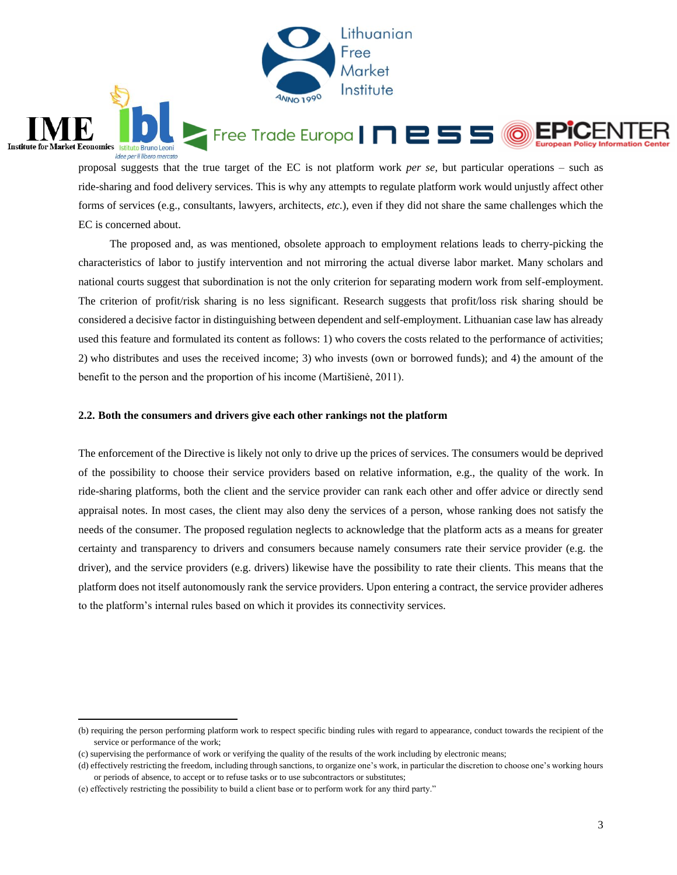

proposal suggests that the true target of the EC is not platform work *per se,* but particular operations – such as ride-sharing and food delivery services. This is why any attempts to regulate platform work would unjustly affect other forms of services (e.g., consultants, lawyers, architects, *etc.*), even if they did not share the same challenges which the EC is concerned about.

The proposed and, as was mentioned, obsolete approach to employment relations leads to cherry-picking the characteristics of labor to justify intervention and not mirroring the actual diverse labor market. Many scholars and national courts suggest that subordination is not the only criterion for separating modern work from self-employment. The criterion of profit/risk sharing is no less significant. Research suggests that profit/loss risk sharing should be considered a decisive factor in distinguishing between dependent and self-employment. Lithuanian case law has already used this feature and formulated its content as follows: 1) who covers the costs related to the performance of activities; 2) who distributes and uses the received income; 3) who invests (own or borrowed funds); and 4) the amount of the benefit to the person and the proportion of his income (Martišienė, 2011).

#### **2.2. Both the consumers and drivers give each other rankings not the platform**

The enforcement of the Directive is likely not only to drive up the prices of services. The consumers would be deprived of the possibility to choose their service providers based on relative information, e.g., the quality of the work. In ride-sharing platforms, both the client and the service provider can rank each other and offer advice or directly send appraisal notes. In most cases, the client may also deny the services of a person, whose ranking does not satisfy the needs of the consumer. The proposed regulation neglects to acknowledge that the platform acts as a means for greater certainty and transparency to drivers and consumers because namely consumers rate their service provider (e.g. the driver), and the service providers (e.g. drivers) likewise have the possibility to rate their clients. This means that the platform does not itself autonomously rank the service providers. Upon entering a contract, the service provider adheres to the platform's internal rules based on which it provides its connectivity services.

 $\overline{a}$ 

**Institute for Market Economics** Istitu

**Bruno Leon** idee per il libero mercato

<sup>(</sup>b) requiring the person performing platform work to respect specific binding rules with regard to appearance, conduct towards the recipient of the service or performance of the work;

<sup>(</sup>c) supervising the performance of work or verifying the quality of the results of the work including by electronic means;

<sup>(</sup>d) effectively restricting the freedom, including through sanctions, to organize one's work, in particular the discretion to choose one's working hours or periods of absence, to accept or to refuse tasks or to use subcontractors or substitutes;

<sup>(</sup>e) effectively restricting the possibility to build a client base or to perform work for any third party."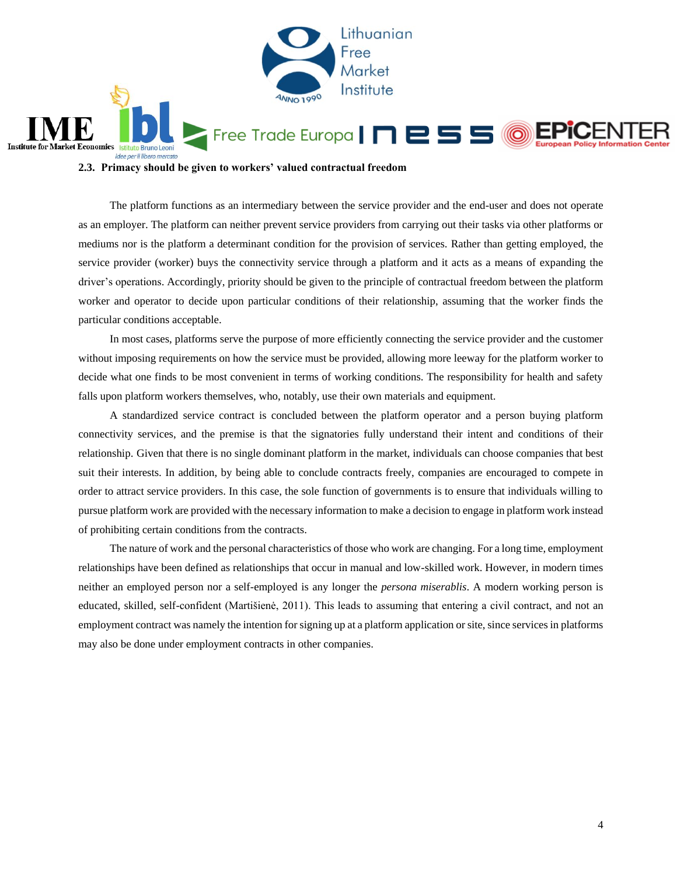

**2.3. Primacy should be given to workers' valued contractual freedom** 

The platform functions as an intermediary between the service provider and the end-user and does not operate as an employer. The platform can neither prevent service providers from carrying out their tasks via other platforms or mediums nor is the platform a determinant condition for the provision of services. Rather than getting employed, the service provider (worker) buys the connectivity service through a platform and it acts as a means of expanding the driver's operations. Accordingly, priority should be given to the principle of contractual freedom between the platform worker and operator to decide upon particular conditions of their relationship, assuming that the worker finds the particular conditions acceptable.

In most cases, platforms serve the purpose of more efficiently connecting the service provider and the customer without imposing requirements on how the service must be provided, allowing more leeway for the platform worker to decide what one finds to be most convenient in terms of working conditions. The responsibility for health and safety falls upon platform workers themselves, who, notably, use their own materials and equipment.

A standardized service contract is concluded between the platform operator and a person buying platform connectivity services, and the premise is that the signatories fully understand their intent and conditions of their relationship. Given that there is no single dominant platform in the market, individuals can choose companies that best suit their interests. In addition, by being able to conclude contracts freely, companies are encouraged to compete in order to attract service providers. In this case, the sole function of governments is to ensure that individuals willing to pursue platform work are provided with the necessary information to make a decision to engage in platform work instead of prohibiting certain conditions from the contracts.

The nature of work and the personal characteristics of those who work are changing. For a long time, employment relationships have been defined as relationships that occur in manual and low-skilled work. However, in modern times neither an employed person nor a self-employed is any longer the *persona miserablis*. A modern working person is educated, skilled, self-confident (Martišienė, 2011). This leads to assuming that entering a civil contract, and not an employment contract was namely the intention for signing up at a platform application or site, since services in platforms may also be done under employment contracts in other companies.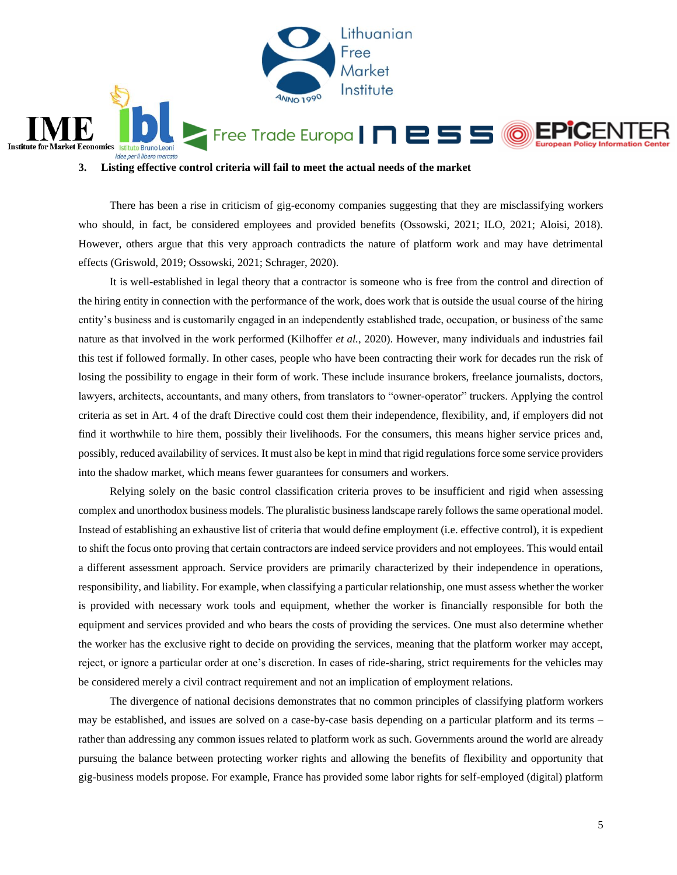

**3. Listing effective control criteria will fail to meet the actual needs of the market** 

There has been a rise in criticism of gig-economy companies suggesting that they are misclassifying workers who should, in fact, be considered employees and provided benefits (Ossowski, 2021; ILO, 2021; Aloisi, 2018). However, others argue that this very approach contradicts the nature of platform work and may have detrimental effects (Griswold, 2019; Ossowski, 2021; Schrager, 2020).

It is well-established in legal theory that a contractor is someone who is free from the control and direction of the hiring entity in connection with the performance of the work, does work that is outside the usual course of the hiring entity's business and is customarily engaged in an independently established trade, occupation, or business of the same nature as that involved in the work performed (Kilhoffer *et al.*, 2020). However, many individuals and industries fail this test if followed formally. In other cases, people who have been contracting their work for decades run the risk of losing the possibility to engage in their form of work. These include insurance brokers, freelance journalists, doctors, lawyers, architects, accountants, and many others, from translators to "owner-operator" truckers. Applying the control criteria as set in Art. 4 of the draft Directive could cost them their independence, flexibility, and, if employers did not find it worthwhile to hire them, possibly their livelihoods. For the consumers, this means higher service prices and, possibly, reduced availability of services. It must also be kept in mind that rigid regulations force some service providers into the shadow market, which means fewer guarantees for consumers and workers.

Relying solely on the basic control classification criteria proves to be insufficient and rigid when assessing complex and unorthodox business models. The pluralistic business landscape rarely follows the same operational model. Instead of establishing an exhaustive list of criteria that would define employment (i.e. effective control), it is expedient to shift the focus onto proving that certain contractors are indeed service providers and not employees. This would entail a different assessment approach. Service providers are primarily characterized by their independence in operations, responsibility, and liability. For example, when classifying a particular relationship, one must assess whether the worker is provided with necessary work tools and equipment, whether the worker is financially responsible for both the equipment and services provided and who bears the costs of providing the services. One must also determine whether the worker has the exclusive right to decide on providing the services, meaning that the platform worker may accept, reject, or ignore a particular order at one's discretion. In cases of ride-sharing, strict requirements for the vehicles may be considered merely a civil contract requirement and not an implication of employment relations.

The divergence of national decisions demonstrates that no common principles of classifying platform workers may be established, and issues are solved on a case-by-case basis depending on a particular platform and its terms – rather than addressing any common issues related to platform work as such. Governments around the world are already pursuing the balance between protecting worker rights and allowing the benefits of flexibility and opportunity that gig-business models propose. For example, France has provided some labor rights for self-employed (digital) platform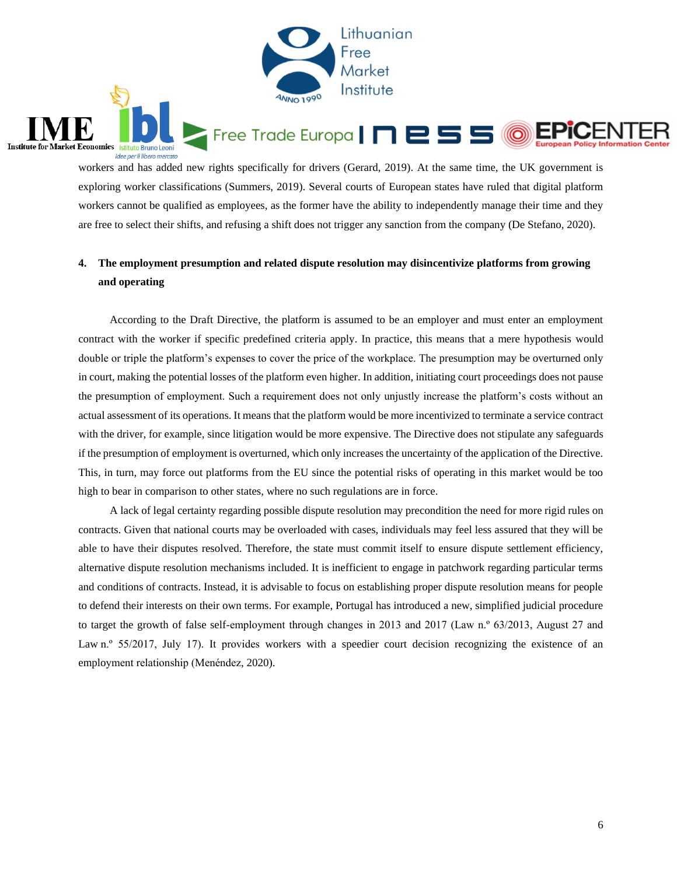

workers and has added new rights specifically for drivers (Gerard, 2019). At the same time, the UK government is exploring worker classifications (Summers, 2019). Several courts of European states have ruled that digital platform workers cannot be qualified as employees, as the former have the ability to independently manage their time and they are free to select their shifts, and refusing a shift does not trigger any sanction from the company (De Stefano, 2020).

**Institute for Market Economics** Istituto Bruno Leoni

idee per il libero mercato

### **4. The employment presumption and related dispute resolution may disincentivize platforms from growing and operating**

According to the Draft Directive, the platform is assumed to be an employer and must enter an employment contract with the worker if specific predefined criteria apply. In practice, this means that a mere hypothesis would double or triple the platform's expenses to cover the price of the workplace. The presumption may be overturned only in court, making the potential losses of the platform even higher. In addition, initiating court proceedings does not pause the presumption of employment. Such a requirement does not only unjustly increase the platform's costs without an actual assessment of its operations. It means that the platform would be more incentivized to terminate a service contract with the driver, for example, since litigation would be more expensive. The Directive does not stipulate any safeguards if the presumption of employment is overturned, which only increases the uncertainty of the application of the Directive. This, in turn, may force out platforms from the EU since the potential risks of operating in this market would be too high to bear in comparison to other states, where no such regulations are in force.

A lack of legal certainty regarding possible dispute resolution may precondition the need for more rigid rules on contracts. Given that national courts may be overloaded with cases, individuals may feel less assured that they will be able to have their disputes resolved. Therefore, the state must commit itself to ensure dispute settlement efficiency, alternative dispute resolution mechanisms included. It is inefficient to engage in patchwork regarding particular terms and conditions of contracts. Instead, it is advisable to focus on establishing proper dispute resolution means for people to defend their interests on their own terms. For example, Portugal has introduced a new, simplified judicial procedure to target the growth of false self-employment through changes in 2013 and 2017 (Law n.º 63/2013, August 27 and Law n.<sup>o</sup> 55/2017, July 17). It provides workers with a speedier court decision recognizing the existence of an employment relationship (Menéndez, 2020).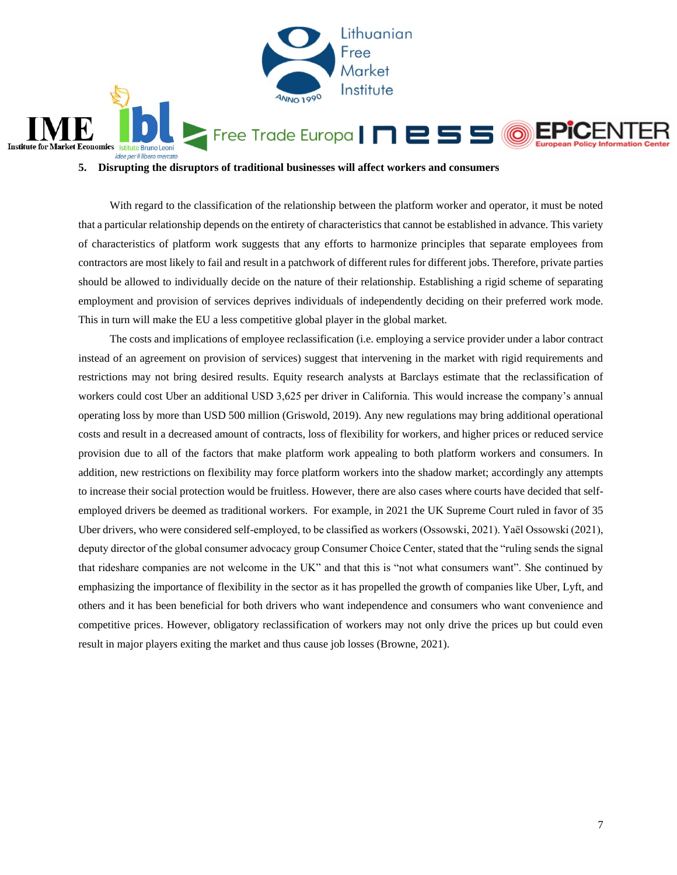

**5. Disrupting the disruptors of traditional businesses will affect workers and consumers**

With regard to the classification of the relationship between the platform worker and operator, it must be noted that a particular relationship depends on the entirety of characteristics that cannot be established in advance. This variety of characteristics of platform work suggests that any efforts to harmonize principles that separate employees from contractors are most likely to fail and result in a patchwork of different rules for different jobs. Therefore, private parties should be allowed to individually decide on the nature of their relationship. Establishing a rigid scheme of separating employment and provision of services deprives individuals of independently deciding on their preferred work mode. This in turn will make the EU a less competitive global player in the global market.

The costs and implications of employee reclassification (i.e. employing a service provider under a labor contract instead of an agreement on provision of services) suggest that intervening in the market with rigid requirements and restrictions may not bring desired results. Equity research analysts at Barclays estimate that the reclassification of workers could cost Uber an additional USD 3,625 per driver in California. This would increase the company's annual operating loss by more than USD 500 million (Griswold, 2019). Any new regulations may bring additional operational costs and result in a decreased amount of contracts, loss of flexibility for workers, and higher prices or reduced service provision due to all of the factors that make platform work appealing to both platform workers and consumers. In addition, new restrictions on flexibility may force platform workers into the shadow market; accordingly any attempts to increase their social protection would be fruitless. However, there are also cases where courts have decided that selfemployed drivers be deemed as traditional workers. For example, in 2021 the UK Supreme Court ruled in favor of 35 Uber drivers, who were considered self-employed, to be classified as workers (Ossowski, 2021). Yaël Ossowski (2021), deputy director of the global consumer advocacy group Consumer Choice Center, stated that the "ruling sends the signal that rideshare companies are not welcome in the UK" and that this is "not what consumers want". She continued by emphasizing the importance of flexibility in the sector as it has propelled the growth of companies like Uber, Lyft, and others and it has been beneficial for both drivers who want independence and consumers who want convenience and competitive prices. However, obligatory reclassification of workers may not only drive the prices up but could even result in major players exiting the market and thus cause job losses (Browne, 2021).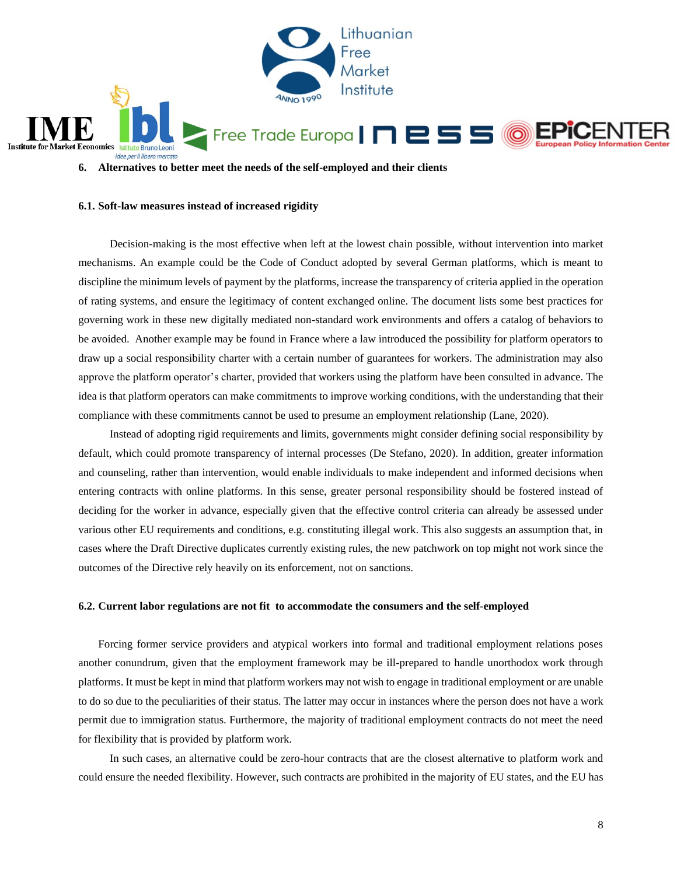

**6. Alternatives to better meet the needs of the self-employed and their clients**

### **6.1. Soft-law measures instead of increased rigidity**

Decision-making is the most effective when left at the lowest chain possible, without intervention into market mechanisms. An example could be the Code of Conduct adopted by several German platforms, which is meant to discipline the minimum levels of payment by the platforms, increase the transparency of criteria applied in the operation of rating systems, and ensure the legitimacy of content exchanged online. The document lists some best practices for governing work in these new digitally mediated non-standard work environments and offers a catalog of behaviors to be avoided. Another example may be found in France where a law introduced the possibility for platform operators to draw up a social responsibility charter with a certain number of guarantees for workers. The administration may also approve the platform operator's charter, provided that workers using the platform have been consulted in advance. The idea is that platform operators can make commitments to improve working conditions, with the understanding that their compliance with these commitments cannot be used to presume an employment relationship (Lane, 2020).

Instead of adopting rigid requirements and limits, governments might consider defining social responsibility by default, which could promote transparency of internal processes (De Stefano, 2020). In addition, greater information and counseling, rather than intervention, would enable individuals to make independent and informed decisions when entering contracts with online platforms. In this sense, greater personal responsibility should be fostered instead of deciding for the worker in advance, especially given that the effective control criteria can already be assessed under various other EU requirements and conditions, e.g. constituting illegal work. This also suggests an assumption that, in cases where the Draft Directive duplicates currently existing rules, the new patchwork on top might not work since the outcomes of the Directive rely heavily on its enforcement, not on sanctions.

### **6.2. Current labor regulations are not fit to accommodate the consumers and the self-employed**

Forcing former service providers and atypical workers into formal and traditional employment relations poses another conundrum, given that the employment framework may be ill-prepared to handle unorthodox work through platforms. It must be kept in mind that platform workers may not wish to engage in traditional employment or are unable to do so due to the peculiarities of their status. The latter may occur in instances where the person does not have a work permit due to immigration status. Furthermore, the majority of traditional employment contracts do not meet the need for flexibility that is provided by platform work.

In such cases, an alternative could be zero-hour contracts that are the closest alternative to platform work and could ensure the needed flexibility. However, such contracts are prohibited in the majority of EU states, and the EU has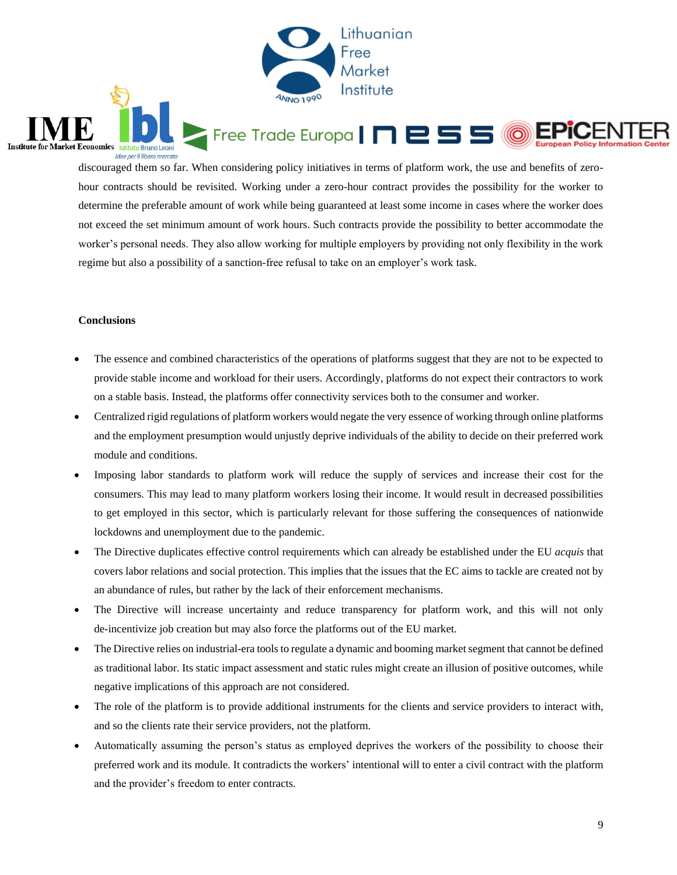

discouraged them so far. When considering policy initiatives in terms of platform work, the use and benefits of zerohour contracts should be revisited. Working under a zero-hour contract provides the possibility for the worker to determine the preferable amount of work while being guaranteed at least some income in cases where the worker does not exceed the set minimum amount of work hours. Such contracts provide the possibility to better accommodate the worker's personal needs. They also allow working for multiple employers by providing not only flexibility in the work regime but also a possibility of a sanction-free refusal to take on an employer's work task.

### **Conclusions**

Institute for Market Economics Istituto Bruno Leoni

idee per il libero mercato

- The essence and combined characteristics of the operations of platforms suggest that they are not to be expected to provide stable income and workload for their users. Accordingly, platforms do not expect their contractors to work on a stable basis. Instead, the platforms offer connectivity services both to the consumer and worker.
- Centralized rigid regulations of platform workers would negate the very essence of working through online platforms and the employment presumption would unjustly deprive individuals of the ability to decide on their preferred work module and conditions.
- Imposing labor standards to platform work will reduce the supply of services and increase their cost for the consumers. This may lead to many platform workers losing their income. It would result in decreased possibilities to get employed in this sector, which is particularly relevant for those suffering the consequences of nationwide lockdowns and unemployment due to the pandemic.
- The Directive duplicates effective control requirements which can already be established under the EU *acquis* that covers labor relations and social protection. This implies that the issues that the EC aims to tackle are created not by an abundance of rules, but rather by the lack of their enforcement mechanisms.
- The Directive will increase uncertainty and reduce transparency for platform work, and this will not only de-incentivize job creation but may also force the platforms out of the EU market.
- The Directive relies on industrial-era tools to regulate a dynamic and booming market segment that cannot be defined as traditional labor. Its static impact assessment and static rules might create an illusion of positive outcomes, while negative implications of this approach are not considered.
- The role of the platform is to provide additional instruments for the clients and service providers to interact with, and so the clients rate their service providers, not the platform.
- Automatically assuming the person's status as employed deprives the workers of the possibility to choose their preferred work and its module. It contradicts the workers' intentional will to enter a civil contract with the platform and the provider's freedom to enter contracts.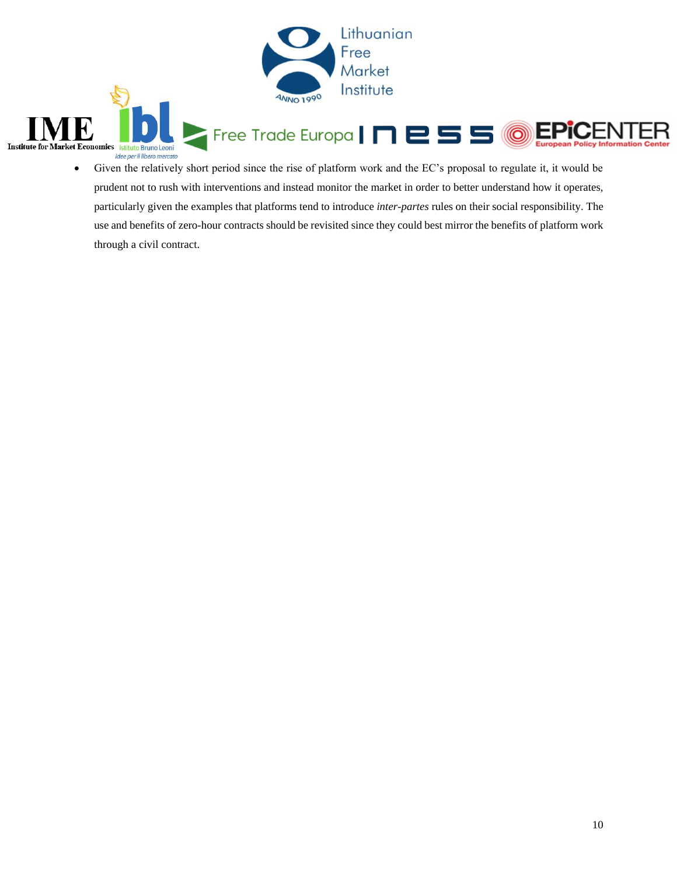

 Given the relatively short period since the rise of platform work and the EC's proposal to regulate it, it would be prudent not to rush with interventions and instead monitor the market in order to better understand how it operates, particularly given the examples that platforms tend to introduce *inter-partes* rules on their social responsibility. The use and benefits of zero-hour contracts should be revisited since they could best mirror the benefits of platform work through a civil contract.